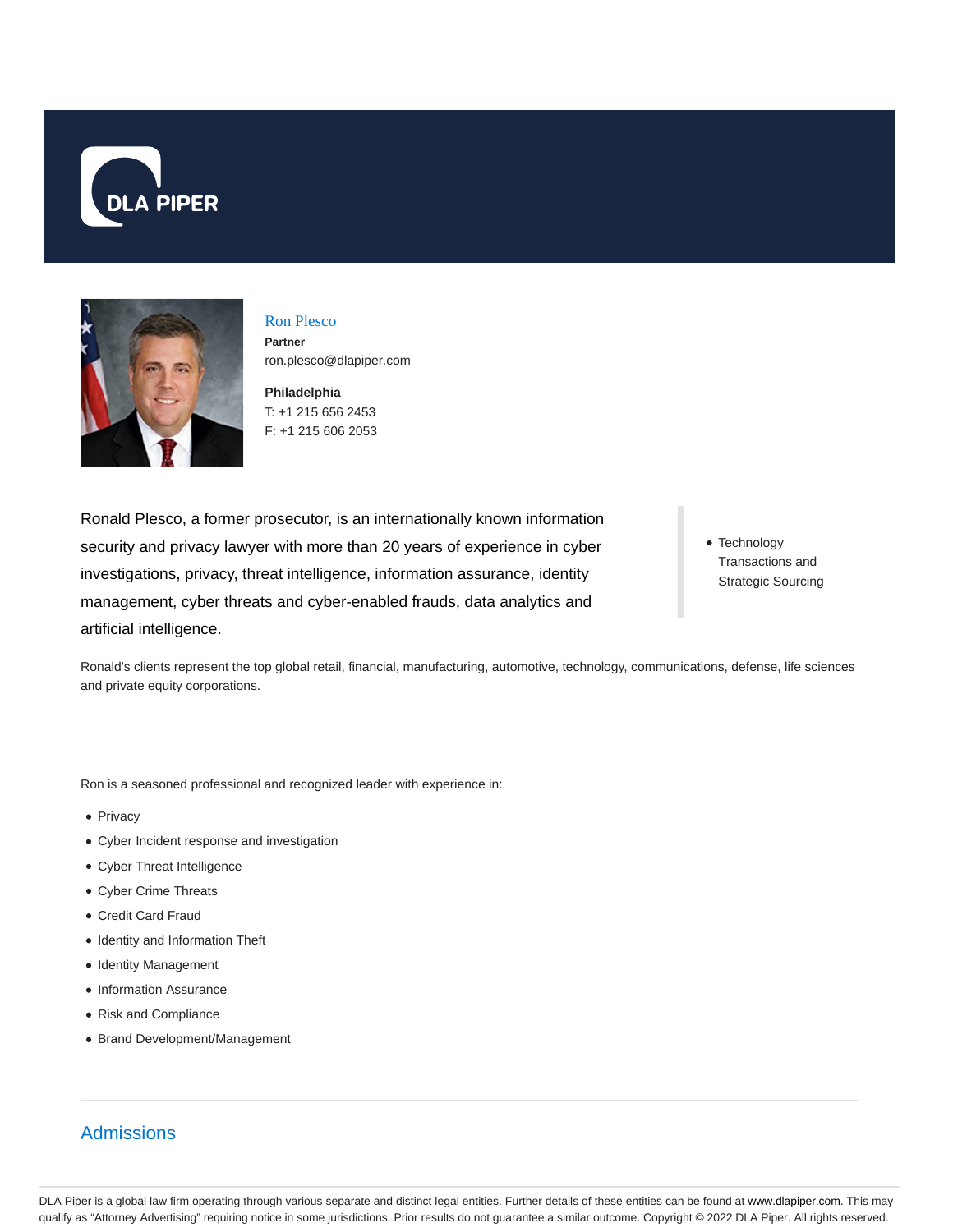



Ron Plesco **Partner** ron.plesco@dlapiper.com

**Philadelphia** T: +1 215 656 2453 F: +1 215 606 2053

Ronald Plesco, a former prosecutor, is an internationally known information security and privacy lawyer with more than 20 years of experience in cyber investigations, privacy, threat intelligence, information assurance, identity management, cyber threats and cyber-enabled frauds, data analytics and artificial intelligence.

• Technology Transactions and Strategic Sourcing

Ronald's clients represent the top global retail, financial, manufacturing, automotive, technology, communications, defense, life sciences and private equity corporations.

Ron is a seasoned professional and recognized leader with experience in:

- Privacy
- Cyber Incident response and investigation
- Cyber Threat Intelligence
- Cyber Crime Threats
- Credit Card Fraud
- Identity and Information Theft
- Identity Management
- Information Assurance
- Risk and Compliance
- Brand Development/Management

# Admissions

DLA Piper is a global law firm operating through various separate and distinct legal entities. Further details of these entities can be found at www.dlapiper.com. This may qualify as "Attorney Advertising" requiring notice in some jurisdictions. Prior results do not guarantee a similar outcome. Copyright © 2022 DLA Piper. All rights reserved.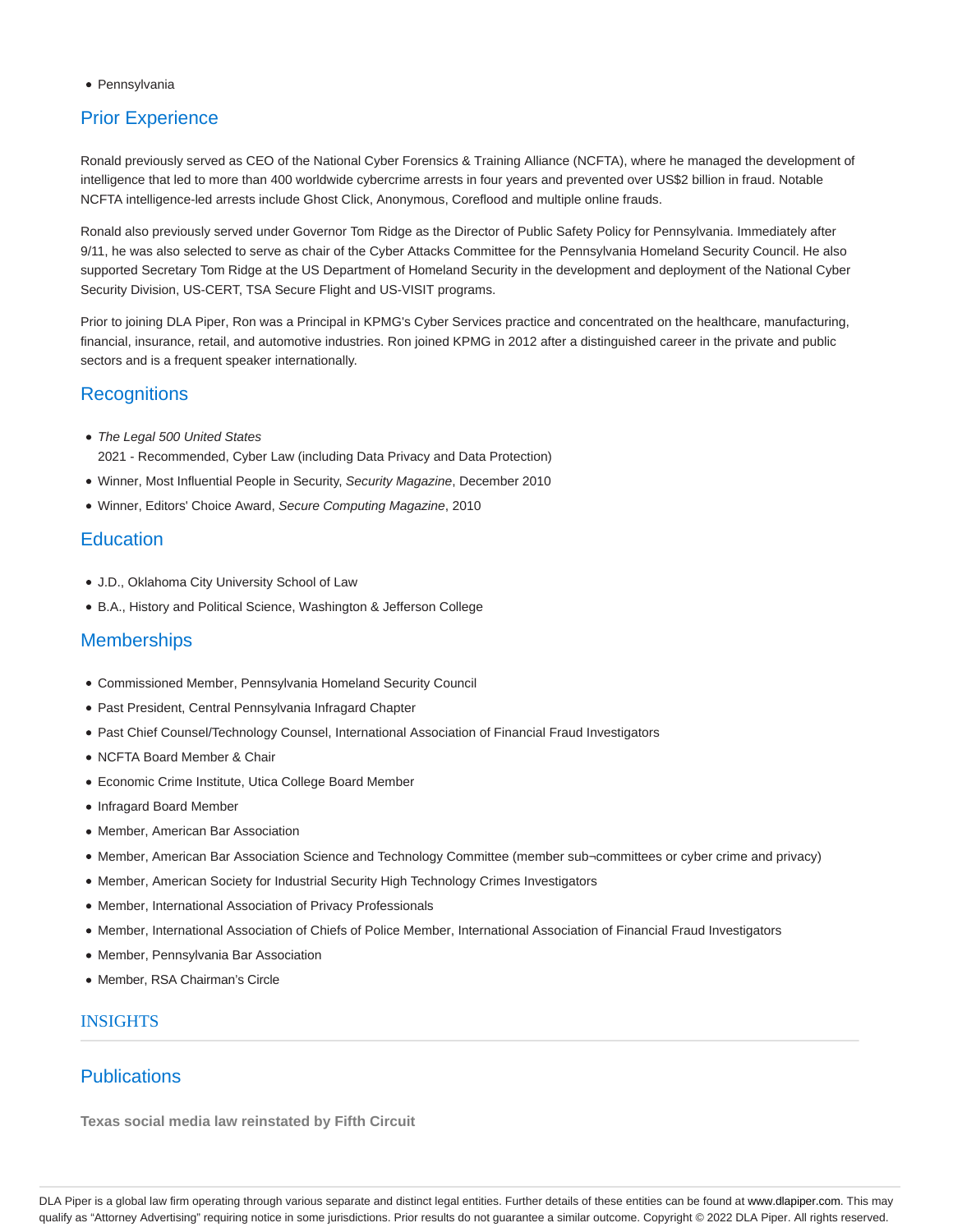• Pennsylvania

# Prior Experience

Ronald previously served as CEO of the National Cyber Forensics & Training Alliance (NCFTA), where he managed the development of intelligence that led to more than 400 worldwide cybercrime arrests in four years and prevented over US\$2 billion in fraud. Notable NCFTA intelligence-led arrests include Ghost Click, Anonymous, Coreflood and multiple online frauds.

Ronald also previously served under Governor Tom Ridge as the Director of Public Safety Policy for Pennsylvania. Immediately after 9/11, he was also selected to serve as chair of the Cyber Attacks Committee for the Pennsylvania Homeland Security Council. He also supported Secretary Tom Ridge at the US Department of Homeland Security in the development and deployment of the National Cyber Security Division, US-CERT, TSA Secure Flight and US-VISIT programs.

Prior to joining DLA Piper, Ron was a Principal in KPMG's Cyber Services practice and concentrated on the healthcare, manufacturing, financial, insurance, retail, and automotive industries. Ron joined KPMG in 2012 after a distinguished career in the private and public sectors and is a frequent speaker internationally.

## **Recognitions**

- The Legal 500 United States 2021 - Recommended, Cyber Law (including Data Privacy and Data Protection)
- Winner, Most Influential People in Security, Security Magazine, December 2010
- Winner, Editors' Choice Award, Secure Computing Magazine, 2010

### **Education**

- J.D., Oklahoma City University School of Law
- B.A., History and Political Science, Washington & Jefferson College

## **Memberships**

- Commissioned Member, Pennsylvania Homeland Security Council
- Past President, Central Pennsylvania Infragard Chapter
- Past Chief Counsel/Technology Counsel, International Association of Financial Fraud Investigators
- NCFTA Board Member & Chair
- Economic Crime Institute, Utica College Board Member
- Infragard Board Member
- Member, American Bar Association
- Member, American Bar Association Science and Technology Committee (member sub¬committees or cyber crime and privacy)
- Member, American Society for Industrial Security High Technology Crimes Investigators
- Member, International Association of Privacy Professionals
- Member, International Association of Chiefs of Police Member, International Association of Financial Fraud Investigators
- Member, Pennsylvania Bar Association
- Member, RSA Chairman's Circle

### INSIGHTS

## **Publications**

**Texas social media law reinstated by Fifth Circuit**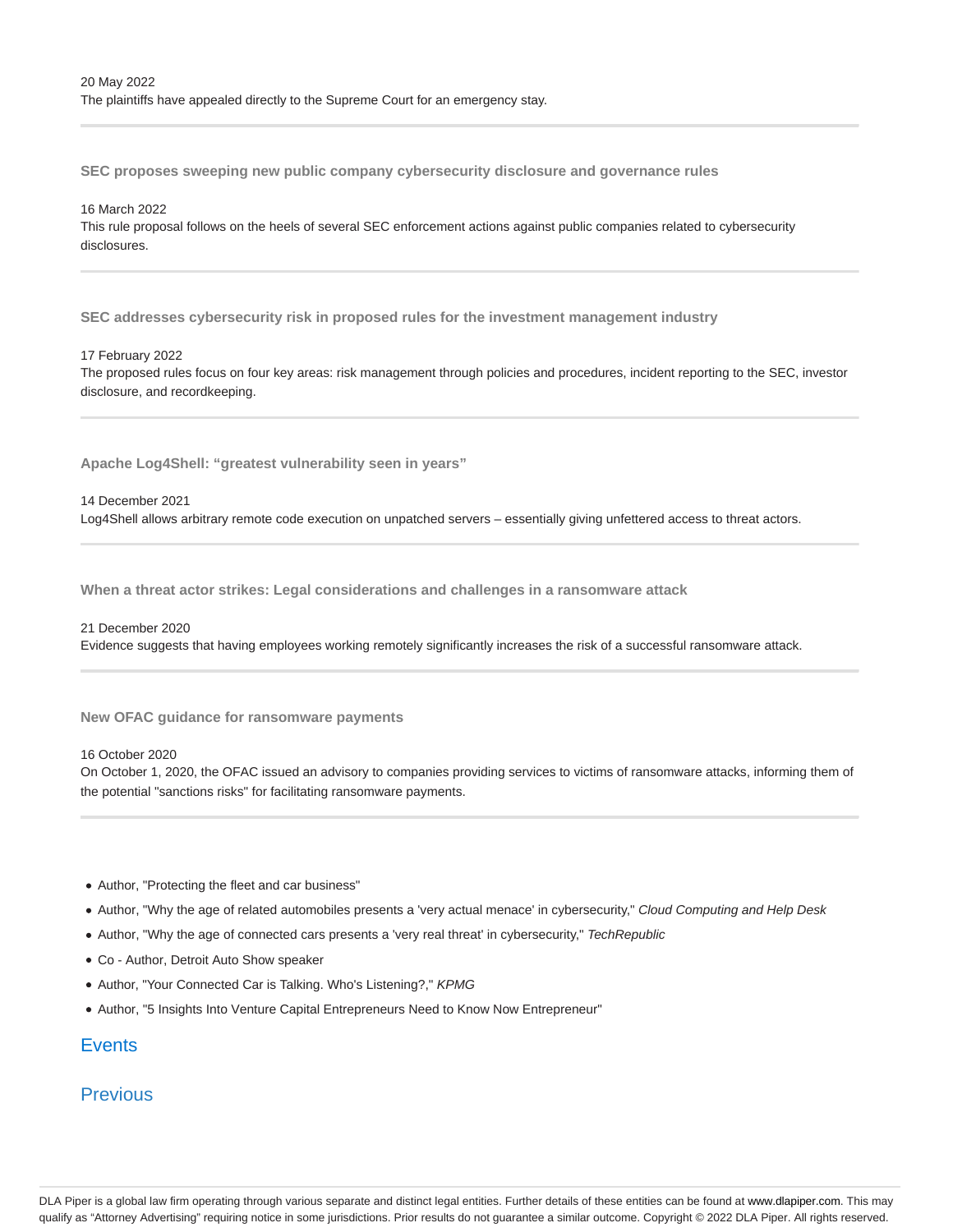**SEC proposes sweeping new public company cybersecurity disclosure and governance rules**

#### 16 March 2022

This rule proposal follows on the heels of several SEC enforcement actions against public companies related to cybersecurity disclosures.

**SEC addresses cybersecurity risk in proposed rules for the investment management industry**

#### 17 February 2022

The proposed rules focus on four key areas: risk management through policies and procedures, incident reporting to the SEC, investor disclosure, and recordkeeping.

**Apache Log4Shell: "greatest vulnerability seen in years"**

#### 14 December 2021

Log4Shell allows arbitrary remote code execution on unpatched servers – essentially giving unfettered access to threat actors.

**When a threat actor strikes: Legal considerations and challenges in a ransomware attack**

#### 21 December 2020

Evidence suggests that having employees working remotely significantly increases the risk of a successful ransomware attack.

**New OFAC guidance for ransomware payments**

#### 16 October 2020

On October 1, 2020, the OFAC issued an advisory to companies providing services to victims of ransomware attacks, informing them of the potential "sanctions risks" for facilitating ransomware payments.

- Author, "Protecting the fleet and car business"
- Author, "Why the age of related automobiles presents a 'very actual menace' in cybersecurity," Cloud Computing and Help Desk
- Author, "Why the age of connected cars presents a 'very real threat' in cybersecurity," TechRepublic
- Co Author, Detroit Auto Show speaker
- Author, "Your Connected Car is Talking. Who's Listening?," KPMG
- Author, "5 Insights Into Venture Capital Entrepreneurs Need to Know Now Entrepreneur"

### **Events**

## **Previous**